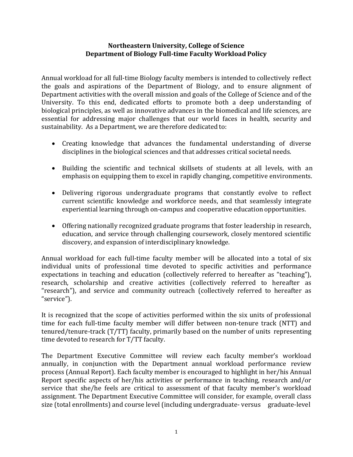### **Northeastern University, College of Science Department of Biology Full-time Faculty Workload Policy**

Annual workload for all full-time Biology faculty members is intended to collectively reflect the goals and aspirations of the Department of Biology, and to ensure alignment of Department activities with the overall mission and goals of the College of Science and of the University. To this end, dedicated efforts to promote both a deep understanding of biological principles, as well as innovative advances in the biomedical and life sciences, are essential for addressing major challenges that our world faces in health, security and sustainability. As a Department, we are therefore dedicated to:

- Creating knowledge that advances the fundamental understanding of diverse disciplines in the biological sciences and that addresses critical societal needs.
- Building the scientific and technical skillsets of students at all levels, with an emphasis on equipping them to excel in rapidly changing, competitive environments.
- Delivering rigorous undergraduate programs that constantly evolve to reflect current scientific knowledge and workforce needs, and that seamlessly integrate experiential learning through on-campus and cooperative education opportunities.
- Offering nationally recognized graduate programs that foster leadership in research, education, and service through challenging coursework, closely mentored scientific discovery, and expansion of interdisciplinary knowledge.

Annual workload for each full-time faculty member will be allocated into a total of six individual units of professional time devoted to specific activities and performance expectations in teaching and education (collectively referred to hereafter as "teaching"), research, scholarship and creative activities (collectively referred to hereafter as "research"), and service and community outreach (collectively referred to hereafter as "service").

It is recognized that the scope of activities performed within the six units of professional time for each full-time faculty member will differ between non-tenure track (NTT) and tenured/tenure-track (T/TT) faculty, primarily based on the number of units representing time devoted to research for T/TT faculty.

The Department Executive Committee will review each faculty member's workload annually, in conjunction with the Department annual workload performance review process (Annual Report). Each faculty member is encouraged to highlight in her/his Annual Report specific aspects of her/his activities or performance in teaching, research and/or service that she/he feels are critical to assessment of that faculty member's workload assignment. The Department Executive Committee will consider, for example, overall class size (total enrollments) and course level (including undergraduate-versus graduate-level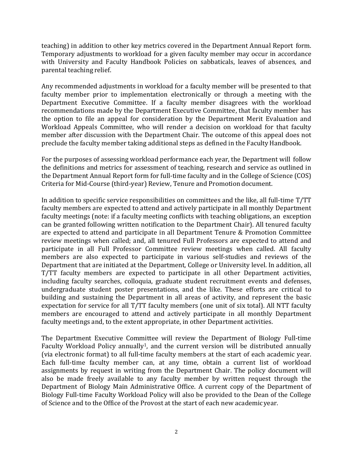teaching) in addition to other key metrics covered in the Department Annual Report form. Temporary adjustments to workload for a given faculty member may occur in accordance with University and Faculty Handbook Policies on sabbaticals, leaves of absences, and parental teaching relief.

Any recommended adjustments in workload for a faculty member will be presented to that faculty member prior to implementation electronically or through a meeting with the Department Executive Committee. If a faculty member disagrees with the workload recommendations made by the Department Executive Committee, that faculty member has the option to file an appeal for consideration by the Department Merit Evaluation and Workload Appeals Committee, who will render a decision on workload for that faculty member after discussion with the Department Chair. The outcome of this appeal does not preclude the faculty member taking additional steps as defined in the Faculty Handbook.

For the purposes of assessing workload performance each year, the Department will follow the definitions and metrics for assessment of teaching, research and service as outlined in the Department Annual Report form for full-time faculty and in the College of Science (COS) Criteria for Mid-Course (third-year) Review, Tenure and Promotion document.

In addition to specific service responsibilities on committees and the like, all full-time T/TT faculty members are expected to attend and actively participate in all monthly Department faculty meetings (note: if a faculty meeting conflicts with teaching obligations, an exception can be granted following written notification to the Department Chair). All tenured faculty are expected to attend and participate in all Department Tenure & Promotion Committee review meetings when called; and, all tenured Full Professors are expected to attend and participate in all Full Professor Committee review meetings when called. All faculty members are also expected to participate in various self-studies and reviews of the Department that are initiated at the Department, College or University level. In addition, all T/TT faculty members are expected to participate in all other Department activities, including faculty searches, colloquia, graduate student recruitment events and defenses, undergraduate student poster presentations, and the like. These efforts are critical to building and sustaining the Department in all areas of activity, and represent the basic expectation for service for all T/TT faculty members (one unit of six total). All NTT faculty members are encouraged to attend and actively participate in all monthly Department faculty meetings and, to the extent appropriate, in other Department activities.

The Department Executive Committee will review the Department of Biology Full-time Faculty Workload Policy annually<sup>1</sup>, and the current version will be distributed annually (via electronic format) to all full-time faculty members at the start of each academic year. Each full-time faculty member can, at any time, obtain a current list of workload assignments by request in writing from the Department Chair. The policy document will also be made freely available to any faculty member by written request through the Department of Biology Main Administrative Office. A current copy of the Department of Biology Full-time Faculty Workload Policy will also be provided to the Dean of the College of Science and to the Office of the Provost at the start of each new academicyear.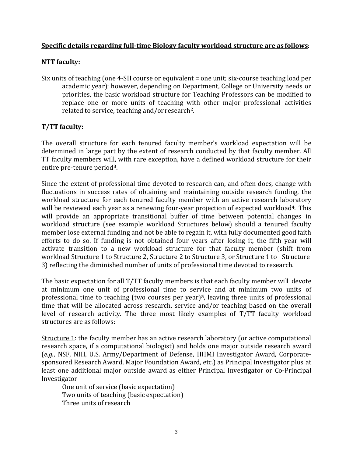### **Specific details regarding full-time Biology faculty workload structure are as follows**:

## **NTT faculty:**

Six units of teaching (one 4-SH course or equivalent = one unit; six-course teaching load per academic year); however, depending on Department, College or University needs or priorities, the basic workload structure for Teaching Professors can be modified to replace one or more units of teaching with other major professional activities related to service, teaching and/or research<sup>2</sup>.

# **T/TT faculty:**

The overall structure for each tenured faculty member's workload expectation will be determined in large part by the extent of research conducted by that faculty member. All TT faculty members will, with rare exception, have a defined workload structure for their entire pre-tenure period**<sup>3</sup>**.

Since the extent of professional time devoted to research can, and often does, change with fluctuations in success rates of obtaining and maintaining outside research funding, the workload structure for each tenured faculty member with an active research laboratory will be reviewed each year as a renewing four-year projection of expected workload**<sup>4</sup>**. This will provide an appropriate transitional buffer of time between potential changes in workload structure (see example workload Structures below) should a tenured faculty member lose external funding and not be able to regain it, with fully documented good faith efforts to do so. If funding is not obtained four years after losing it, the fifth year will activate transition to a new workload structure for that faculty member (shift from workload Structure 1 to Structure 2, Structure 2 to Structure 3, or Structure 1 to Structure 3) reflecting the diminished number of units of professional time devoted to research.

The basic expectation for all T/TT faculty members is that each faculty member will devote at minimum one unit of professional time to service and at minimum two units of professional time to teaching (two courses per year)**<sup>5</sup>**, leaving three units of professional time that will be allocated across research, service and/or teaching based on the overall level of research activity. The three most likely examples of T/TT faculty workload structures are as follows:

Structure 1: the faculty member has an active research laboratory (or active computational research space, if a computational biologist) and holds one major outside research award (*e.g*., NSF, NIH, U.S. Army/Department of Defense, HHMI Investigator Award, Corporatesponsored Research Award, Major Foundation Award, etc.) as Principal Investigator plus at least one additional major outside award as either Principal Investigator or Co-Principal Investigator

One unit of service (basic expectation) Two units of teaching (basic expectation) Three units of research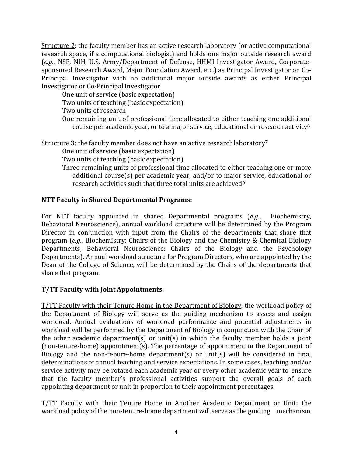Structure 2: the faculty member has an active research laboratory (or active computational research space, if a computational biologist) and holds one major outside research award (*e.g*., NSF, NIH, U.S. Army/Department of Defense, HHMI Investigator Award, Corporatesponsored Research Award, Major Foundation Award, etc.) as Principal Investigator or Co-Principal Investigator with no additional major outside awards as either Principal Investigator or Co-PrincipalInvestigator

One unit of service (basic expectation) Two units of teaching (basic expectation)

Two units of research

One remaining unit of professional time allocated to either teaching one additional course per academic year, or to a major service, educational or research activity**<sup>6</sup>**

Structure 3: the faculty member does not have an active researchlaboratory**<sup>7</sup>**

One unit of service (basic expectation)

Two units of teaching (basic expectation)

Three remaining units of professional time allocated to either teaching one or more additional course(s) per academic year, and/or to major service, educational or research activities such that three total units are achieved**<sup>6</sup>**

# **NTT Faculty in Shared Departmental Programs:**

For NTT faculty appointed in shared Departmental programs (*e.g*., Biochemistry, Behavioral Neuroscience), annual workload structure will be determined by the Program Director in conjunction with input from the Chairs of the departments that share that program (*e.g*., Biochemistry: Chairs of the Biology and the Chemistry & Chemical Biology Departments; Behavioral Neuroscience: Chairs of the Biology and the Psychology Departments). Annual workload structure for Program Directors, who are appointed by the Dean of the College of Science, will be determined by the Chairs of the departments that share that program.

# **T/TT Faculty with Joint Appointments:**

T/TT Faculty with their Tenure Home in the Department of Biology: the workload policy of the Department of Biology will serve as the guiding mechanism to assess and assign workload. Annual evaluations of workload performance and potential adjustments in workload will be performed by the Department of Biology in conjunction with the Chair of the other academic department(s) or unit(s) in which the faculty member holds a joint (non-tenure-home) appointment(s). The percentage of appointment in the Department of Biology and the non-tenure-home department(s) or unit(s) will be considered in final determinations of annual teaching and service expectations. In some cases, teaching and/or service activity may be rotated each academic year or every other academic year to ensure that the faculty member's professional activities support the overall goals of each appointing department or unit in proportion to their appointment percentages.

T/TT Faculty with their Tenure Home in Another Academic Department or Unit: the workload policy of the non-tenure-home department will serve as the guiding mechanism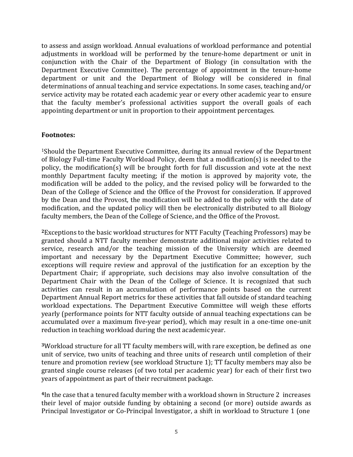to assess and assign workload. Annual evaluations of workload performance and potential adjustments in workload will be performed by the tenure-home department or unit in conjunction with the Chair of the Department of Biology (in consultation with the Department Executive Committee). The percentage of appointment in the tenure-home department or unit and the Department of Biology will be considered in final determinations of annual teaching and service expectations. In some cases, teaching and/or service activity may be rotated each academic year or every other academic year to ensure that the faculty member's professional activities support the overall goals of each appointing department or unit in proportion to their appointment percentages.

#### **Footnotes:**

1Should the Department Executive Committee, during its annual review of the Department of Biology Full-time Faculty Workload Policy, deem that a modification(s) is needed to the policy, the modification(s) will be brought forth for full discussion and vote at the next monthly Department faculty meeting; if the motion is approved by majority vote, the modification will be added to the policy, and the revised policy will be forwarded to the Dean of the College of Science and the Office of the Provost for consideration. If approved by the Dean and the Provost, the modification will be added to the policy with the date of modification, and the updated policy will then be electronically distributed to all Biology faculty members, the Dean of the College of Science, and the Office of the Provost.

**<sup>2</sup>**Exceptions to the basic workload structures for NTT Faculty (Teaching Professors) may be granted should a NTT faculty member demonstrate additional major activities related to service, research and/or the teaching mission of the University which are deemed important and necessary by the Department Executive Committee; however, such exceptions will require review and approval of the justification for an exception by the Department Chair; if appropriate, such decisions may also involve consultation of the Department Chair with the Dean of the College of Science. It is recognized that such activities can result in an accumulation of performance points based on the current Department Annual Report metrics for these activities that fall outside of standard teaching workload expectations. The Department Executive Committee will weigh these efforts yearly (performance points for NTT faculty outside of annual teaching expectations can be accumulated over a maximum five-year period), which may result in a one-time one-unit reduction in teaching workload during the next academic year.

**<sup>3</sup>**Workload structure for all TT faculty members will, with rare exception, be defined as one unit of service, two units of teaching and three units of research until completion of their tenure and promotion review (see workload Structure 1); TT faculty members may also be granted single course releases (of two total per academic year) for each of their first two years of appointment as part of their recruitment package.

**<sup>4</sup>**In the case that a tenured faculty member with a workload shown in Structure 2 increases their level of major outside funding by obtaining a second (or more) outside awards as Principal Investigator or Co-Principal Investigator, a shift in workload to Structure 1 (one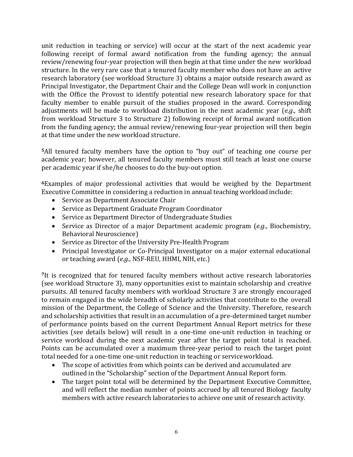unit reduction in teaching or service) will occur at the start of the next academic year following receipt of formal award notification from the funding agency; the annual review/renewing four-year projection will then begin at that time under the new workload structure. In the very rare case that a tenured faculty member who does not have an active research laboratory (see workload Structure 3) obtains a major outside research award as Principal Investigator, the Department Chair and the College Dean will work in conjunction with the Office the Provost to identify potential new research laboratory space for that faculty member to enable pursuit of the studies proposed in the award. Corresponding adjustments will be made to workload distribution in the next academic year (*e.g*., shift from workload Structure 3 to Structure 2) following receipt of formal award notification from the funding agency; the annual review/renewing four-year projection will then begin at that time under the new workload structure.

**<sup>5</sup>**All tenured faculty members have the option to "buy out" of teaching one course per academic year; however, all tenured faculty members must still teach at least one course per academic year if she/he chooses to do the buy-out option.

**<sup>6</sup>**Examples of major professional activities that would be weighed by the Department Executive Committee in considering a reduction in annual teaching workloadinclude:

- Service as Department Associate Chair
- Service as Department Graduate Program Coordinator
- Service as Department Director of Undergraduate Studies
- Service as Director of a major Department academic program (*e.g*., Biochemistry, Behavioral Neuroscience)
- Service as Director of the University Pre-Health Program
- Principal Investigator or Co-Principal Investigator on a major external educational or teaching award (*e.g*., NSF-REU, HHMI, NIH, etc.)

**<sup>7</sup>**It is recognized that for tenured faculty members without active research laboratories (see workload Structure 3), many opportunities exist to maintain scholarship and creative pursuits. All tenured faculty members with workload Structure 3 are strongly encouraged to remain engaged in the wide breadth of scholarly activities that contribute to the overall mission of the Department, the College of Science and the University. Therefore, research and scholarship activities that result in an accumulation of a pre-determined target number of performance points based on the current Department Annual Report metrics for these activities (see details below) will result in a one-time one-unit reduction in teaching or service workload during the next academic year after the target point total is reached. Points can be accumulated over a maximum three-year period to reach the target point total needed for a one-time one-unit reduction in teaching or serviceworkload.

- The scope of activities from which points can be derived and accumulated are outlined in the "Scholarship" section of the Department Annual Report form.
- The target point total will be determined by the Department Executive Committee, and will reflect the median number of points accrued by all tenured Biology faculty members with active research laboratories to achieve one unit of research activity.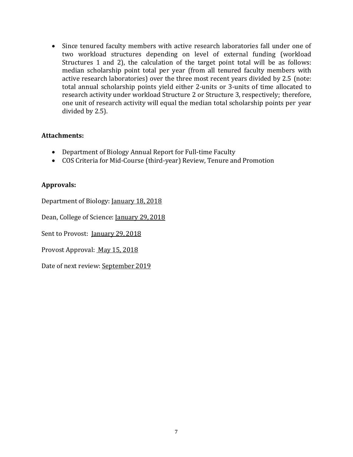• Since tenured faculty members with active research laboratories fall under one of two workload structures depending on level of external funding (workload Structures 1 and 2), the calculation of the target point total will be as follows: median scholarship point total per year (from all tenured faculty members with active research laboratories) over the three most recent years divided by 2.5 (note: total annual scholarship points yield either 2-units or 3-units of time allocated to research activity under workload Structure 2 or Structure 3, respectively; therefore, one unit of research activity will equal the median total scholarship points per year divided by 2.5).

## **Attachments:**

- Department of Biology Annual Report for Full-time Faculty
- COS Criteria for Mid-Course (third-year) Review, Tenure and Promotion

## **Approvals:**

Department of Biology: January 18, 2018

Dean, College of Science: January 29, 2018

Sent to Provost: January 29, 2018

Provost Approval: May 15, 2018

Date of next review: September 2019